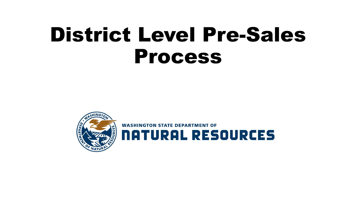# District Level Pre-Sales Process



**WASHINGTON STATE DEPARTMENT OF NATURAL RESOURCES**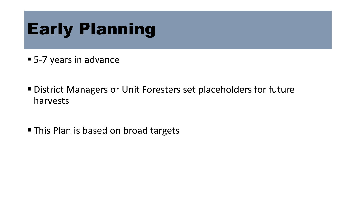# Early Planning

- 5-7 years in advance
- District Managers or Unit Foresters set placeholders for future harvests
- This Plan is based on broad targets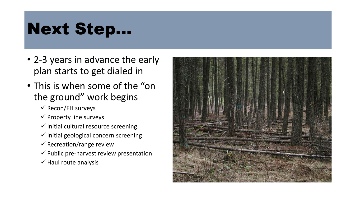## Next Step…

- 2-3 years in advance the early plan starts to get dialed in
- This is when some of the "on the ground" work begins
	- $\checkmark$  Recon/FH surveys
	- $\checkmark$  Property line surveys
	- $\checkmark$  Initial cultural resource screening
	- $\checkmark$  Initial geological concern screening
	- $\checkmark$  Recreation/range review
	- $\checkmark$  Public pre-harvest review presentation
	- $\checkmark$  Haul route analysis

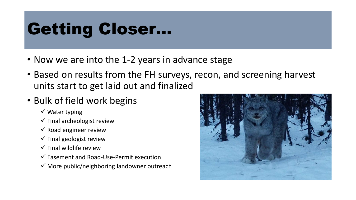# Getting Closer…

- Now we are into the 1-2 years in advance stage
- Based on results from the FH surveys, recon, and screening harvest units start to get laid out and finalized
- Bulk of field work begins
	- $\checkmark$  Water typing
	- $\checkmark$  Final archeologist review
	- $\checkmark$  Road engineer review
	- $\checkmark$  Final geologist review
	- $\checkmark$  Final wildlife review
	- $\checkmark$  Easement and Road-Use-Permit execution
	- $\checkmark$  More public/neighboring landowner outreach

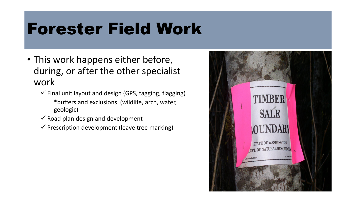## Forester Field Work

- This work happens either before, during, or after the other specialist work
	- $\checkmark$  Final unit layout and design (GPS, tagging, flagging) \*buffers and exclusions (wildlife, arch, water, geologic)
	- $\checkmark$  Road plan design and development
	- $\checkmark$  Prescription development (leave tree marking)

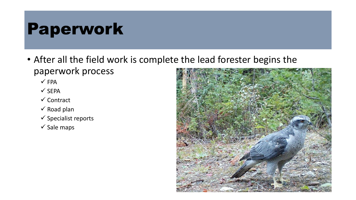#### Paperwork

- After all the field work is complete the lead forester begins the paperwork process
	- $\checkmark$  FPA
	- $\checkmark$  SEPA
	- $\checkmark$  Contract
	- $\checkmark$  Road plan
	- $\checkmark$  Specialist reports
	- $\checkmark$  Sale maps

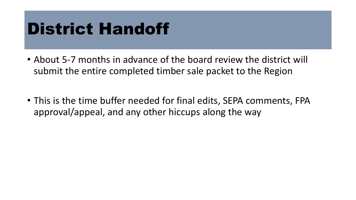#### District Handoff

- About 5-7 months in advance of the board review the district will submit the entire completed timber sale packet to the Region
- This is the time buffer needed for final edits, SEPA comments, FPA approval/appeal, and any other hiccups along the way